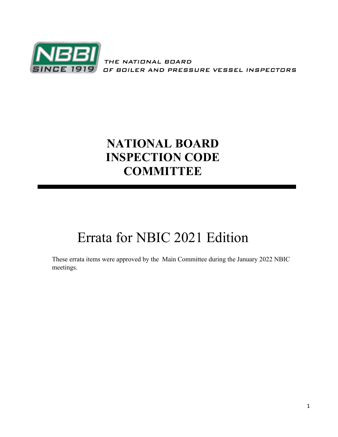

THE NATIONAL BOARD OF BOILER AND PRESSURE VESSEL INSPECTORS

## **NATIONAL BOARD INSPECTION CODE COMMITTEE**

# Errata for NBIC 2021 Edition

These errata items were approved by the Main Committee during the January 2022 NBIC meetings.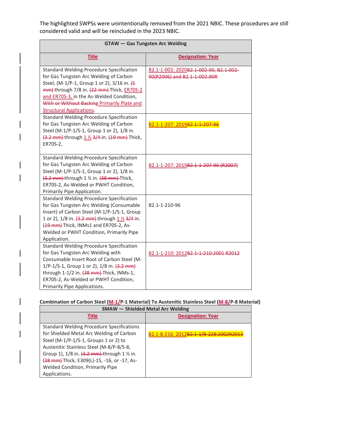The highlighted SWPSs were unintentionally removed from the 2021 NBIC. These procedures are still considered valid and will be reincluded in the 2023 NBIC.

| <b>GTAW</b> - Gas Tungsten Arc Welding                                                                                                                                                                                                                                                                                                                                                                                                                                                                                       |                                                                                                         |  |
|------------------------------------------------------------------------------------------------------------------------------------------------------------------------------------------------------------------------------------------------------------------------------------------------------------------------------------------------------------------------------------------------------------------------------------------------------------------------------------------------------------------------------|---------------------------------------------------------------------------------------------------------|--|
| <b>Title</b>                                                                                                                                                                                                                                                                                                                                                                                                                                                                                                                 | <b>Designation: Year</b>                                                                                |  |
| <b>Standard Welding Procedure Specification</b><br>for Gas Tungsten Arc Welding of Carbon<br>Steel, (M-1/P-1, Group 1 or 2), 3/16 in. (5<br>mm) through 7/8 in. (22 mm) Thick, ER70S-2<br>and ER70S-3, in the As-Welded Condition,<br>With or Without Backing Primarily Plate and<br><b>Structural Applications.</b><br><b>Standard Welding Procedure Specification</b><br>for Gas Tungsten Arc Welding of Carbon<br>Steel (M-1/P-1/S-1, Group 1 or 2), 1/8 in.<br>(3.2 mm) through 1 1/2 3/4 in. (19 mm) Thick,<br>ER70S-2, | B2.1-1-002: 2020B2.1-002-90, B2.1-002-<br>90(R2006) and B2.1-1-002-90R<br>B2.1-1-207: 2019B2.1-1-207-96 |  |
| <b>Standard Welding Procedure Specification</b><br>for Gas Tungsten Arc Welding of Carbon<br>Steel (M-1/P-1/S-1, Group 1 or 2), 1/8 in.<br>(3.2 mm) through 1 1/2 in. (38 mm) Thick,<br>ER70S-2, As-Welded or PWHT Condition,<br>Primarily Pipe Application.                                                                                                                                                                                                                                                                 | B2.1-1-207: 2019B2.1-1-207-96 (R2007)                                                                   |  |
| <b>Standard Welding Procedure Specification</b><br>for Gas Tungsten Arc Welding (Consumable<br>Insert) of Carbon Steel (M-1/P-1/S-1, Group<br>1 or 2), 1/8 in. (3.2 mm) through 1 1/2 3/4 in.<br>(19 mm)-Thick, INMs1 and ER70S-2, As-<br>Welded or PWHT Condition, Primarily Pipe<br>Application.                                                                                                                                                                                                                           | B2.1-1-210-96                                                                                           |  |
| <b>Standard Welding Procedure Specification</b><br>for Gas Tungsten Arc Welding with<br>Consumable Insert Root of Carbon Steel (M-<br>1/P-1/S-1, Group 1 or 2), 1/8 in. (3.2 mm)<br>through 1-1/2 in. (38 mm)-Thick, INMs-1,<br>ER70S-2, As-Welded or PWHT Condition,<br>Primarily Pipe Applications.                                                                                                                                                                                                                        | B2.1-1-210: 2012B2.1-1-210:2001 R2012                                                                   |  |

### Combination of Carbon Steel (M-1/P-1 Material) To Austenitic Stainless Steel (M-8/P-8 Material)

| <b>SMAW</b> – Shielded Metal Arc Welding                                                                                                                                                                                                                                                                                                                                 |                                      |  |
|--------------------------------------------------------------------------------------------------------------------------------------------------------------------------------------------------------------------------------------------------------------------------------------------------------------------------------------------------------------------------|--------------------------------------|--|
| <b>Title</b>                                                                                                                                                                                                                                                                                                                                                             | <b>Designation: Year</b>             |  |
| <b>Standard Welding Procedure Specifications</b><br>for Shielded Metal Arc Welding of Carbon<br>Steel (M-1/P-1/S-1, Groups 1 or 2) to<br>Austenitic Stainless Steel (M-8/P-8/S-8,<br>Group 1), $1/8$ in. $\frac{3.2 \text{ mm}}{1 \text{ m}}$ through 1 % in.<br>(38 mm) Thick, E309(L)-15, -16, or -17, As-<br><b>Welded Condition, Primarily Pipe</b><br>Applications. | B2.1-8-216: 2012 <del>B2.1-1/8</del> |  |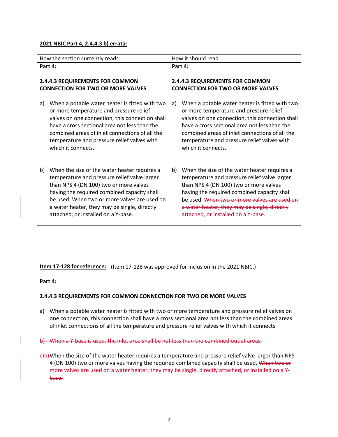#### **2021 NBIC Part 4, 2.4.4.3 b) errata:**

| How the section currently reads:                | How it should read:                             |
|-------------------------------------------------|-------------------------------------------------|
| Part 4:                                         | Part 4:                                         |
| <b>2.4.4.3 REQUIREMENTS FOR COMMON</b>          | <b>2.4.4.3 REQUIREMENTS FOR COMMON</b>          |
| <b>CONNECTION FOR TWO OR MORE VALVES</b>        | <b>CONNECTION FOR TWO OR MORE VALVES</b>        |
| When a potable water heater is fitted with two  | When a potable water heater is fitted with two  |
| a)                                              | a)                                              |
| or more temperature and pressure relief         | or more temperature and pressure relief         |
| valves on one connection, this connection shall | valves on one connection, this connection shall |
| have a cross sectional area not less than the   | have a cross sectional area not less than the   |
| combined areas of inlet connections of all the  | combined areas of inlet connections of all the  |
| temperature and pressure relief valves with     | temperature and pressure relief valves with     |
| which it connects.                              | which it connects.                              |
| When the size of the water heater requires a    | When the size of the water heater requires a    |
| b)                                              | b)                                              |
| temperature and pressure relief valve larger    | temperature and pressure relief valve larger    |
| than NPS 4 (DN 100) two or more valves          | than NPS 4 (DN 100) two or more valves          |
| having the required combined capacity shall     | having the required combined capacity shall     |
| be used. When two or more valves are used on    | be used. When two or more valves are used on    |
| a water heater, they may be single, directly    | a water heater, they may be single, directly    |
| attached, or installed on a Y-base.             | attached, or installed on a Y-base.             |

**Item 17-128 for reference:** (Item 17-128 was approved for inclusion in the 2021 NBIC.)

#### **Part 4:**

#### **2.4.4.3 REQUIREMENTS FOR COMMON CONNECTION FOR TWO OR MORE VALVES**

a) When a potable water heater is fitted with two or more temperature and pressure relief valves on one connection, this connection shall have a cross sectional area not less than the combined areas of inlet connections of all the temperature and pressure relief valves with which it connects.

b) When a Y-base is used, the inlet area shall be not less than the combined outlet areas.

 $\frac{\epsilon}{\phi}$ )When the size of the water heater requires a temperature and pressure relief valve larger than NPS 4 (DN 100) two or more valves having the required combined capacity shall be used. When two or more valves are used on a water heater, they may be single, directly attached, or installed on a Ybase.